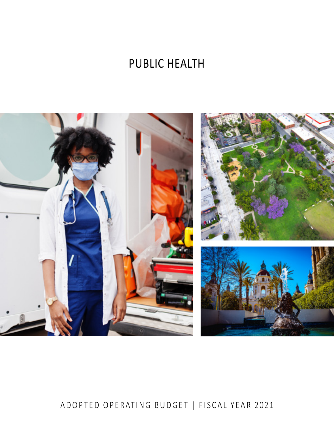# PUBLIC HEALTH



# ADOPTED OPERATING BUDGET | FISCAL YEAR 2021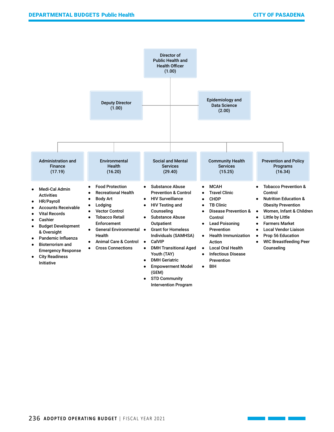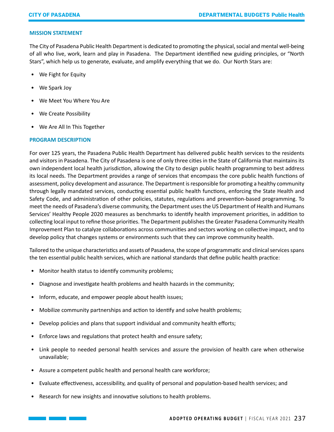## **MISSION STATEMENT**

The City of Pasadena Public Health Department is dedicated to promoting the physical, social and mental well-being of all who live, work, learn and play in Pasadena. The Department identified new guiding principles, or "North Stars", which help us to generate, evaluate, and amplify everything that we do. Our North Stars are:

- We Fight for Equity
- We Spark Joy
- We Meet You Where You Are
- We Create Possibility
- We Are All In This Together

# **PROGRAM DESCRIPTION**

For over 125 years, the Pasadena Public Health Department has delivered public health services to the residents and visitors in Pasadena. The City of Pasadena is one of only three cities in the State of California that maintains its own independent local health jurisdiction, allowing the City to design public health programming to best address its local needs. The Department provides a range of services that encompass the core public health functions of assessment, policy development and assurance. The Department is responsible for promoting a healthy community through legally mandated services, conducting essential public health functions, enforcing the State Health and Safety Code, and administration of other policies, statutes, regulations and prevention-based programming. To meet the needs of Pasadena's diverse community, the Department uses the US Department of Health and Humans Services' Healthy People 2020 measures as benchmarks to identify health improvement priorities, in addition to collecting local input to refine those priorities. The Department publishes the Greater Pasadena Community Health Improvement Plan to catalyze collaborations across communities and sectors working on collective impact, and to develop policy that changes systems or environments such that they can improve community health.

Tailored to the unique characteristics and assets of Pasadena, the scope of programmatic and clinical services spans the ten essential public health services, which are national standards that define public health practice:

- Monitor health status to identify community problems;
- Diagnose and investigate health problems and health hazards in the community;
- Inform, educate, and empower people about health issues;
- Mobilize community partnerships and action to identify and solve health problems;
- Develop policies and plans that support individual and community health efforts;
- Enforce laws and regulations that protect health and ensure safety;
- Link people to needed personal health services and assure the provision of health care when otherwise unavailable;
- Assure a competent public health and personal health care workforce;
- Evaluate effectiveness, accessibility, and quality of personal and population-based health services; and
- Research for new insights and innovative solutions to health problems.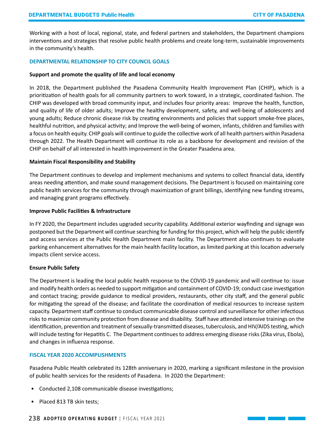Working with a host of local, regional, state, and federal partners and stakeholders, the Department champions interventions and strategies that resolve public health problems and create long-term, sustainable improvements in the community's health.

# **DEPARTMENTAL RELATIONSHIP TO CITY COUNCIL GOALS**

#### **Support and promote the quality of life and local economy**

In 2018, the Department published the Pasadena Community Health Improvement Plan (CHIP), which is a prioritization of health goals for all community partners to work toward, in a strategic, coordinated fashion. The CHIP was developed with broad community input, and includes four priority areas: Improve the health, function, and quality of life of older adults; Improve the healthy development, safety, and well-being of adolescents and young adults; Reduce chronic disease risk by creating environments and policies that support smoke-free places, healthful nutrition, and physical activity; and Improve the well-being of women, infants, children and families with a focus on health equity. CHIP goals will continue to guide the collective work of all health partners within Pasadena through 2022. The Health Department will continue its role as a backbone for development and revision of the CHIP on behalf of all interested in health improvement in the Greater Pasadena area.

#### **Maintain Fiscal Responsibility and Stability**

The Department continues to develop and implement mechanisms and systems to collect financial data, identify areas needing attention, and make sound management decisions. The Department is focused on maintaining core public health services for the community through maximization of grant billings, identifying new funding streams, and managing grant programs effectively.

#### **Improve Public Facilities & Infrastructure**

In FY 2020, the Department includes upgraded security capability. Additional exterior wayfinding and signage was postponed but the Department will continue searching for funding for this project, which will help the public identify and access services at the Public Health Department main facility. The Department also continues to evaluate parking enhancement alternatives for the main health facility location, as limited parking at this location adversely impacts client service access.

# **Ensure Public Safety**

The Department is leading the local public health response to the COVID-19 pandemic and will continue to: issue and modify health orders as needed to support mitigation and containment of COVID-19; conduct case investigation and contact tracing; provide guidance to medical providers, restaurants, other city staff, and the general public for mitigating the spread of the disease; and facilitate the coordination of medical resources to increase system capacity. Department staff continue to conduct communicable disease control and surveillance for other infectious risks to maximize community protection from disease and disability. Staff have attended intensive trainings on the identification, prevention and treatment of sexually-transmitted diseases, tuberculosis, and HIV/AIDS testing, which will include testing for Hepatitis C. The Department continues to address emerging disease risks (Zika virus, Ebola), and changes in influenza response.

# **FISCAL YEAR 2020 ACCOMPLISHMENTS**

Pasadena Public Health celebrated its 128th anniversary in 2020, marking a significant milestone in the provision of public health services for the residents of Pasadena. In 2020 the Department:

- Conducted 2,108 communicable disease investigations;
- Placed 813 TB skin tests;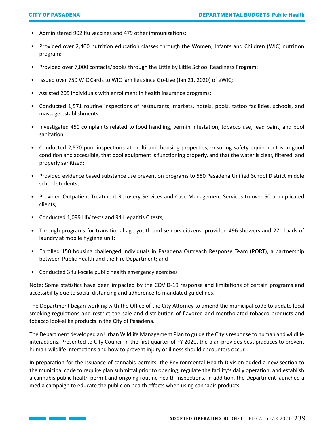- Administered 902 flu vaccines and 479 other immunizations;
- Provided over 2,400 nutrition education classes through the Women, Infants and Children (WIC) nutrition program;
- Provided over 7,000 contacts/books through the Little by Little School Readiness Program;
- Issued over 750 WIC Cards to WIC families since Go-Live (Jan 21, 2020) of eWIC;
- Assisted 205 individuals with enrollment in health insurance programs;
- Conducted 1,571 routine inspections of restaurants, markets, hotels, pools, tattoo facilities, schools, and massage establishments;
- Investigated 450 complaints related to food handling, vermin infestation, tobacco use, lead paint, and pool sanitation;
- Conducted 2,570 pool inspections at multi-unit housing properties, ensuring safety equipment is in good condition and accessible, that pool equipment is functioning properly, and that the water is clear, filtered, and properly sanitized;
- Provided evidence based substance use prevention programs to 550 Pasadena Unified School District middle school students;
- Provided Outpatient Treatment Recovery Services and Case Management Services to over 50 unduplicated clients;
- Conducted 1,099 HIV tests and 94 Hepatitis C tests;
- Through programs for transitional-age youth and seniors citizens, provided 496 showers and 271 loads of laundry at mobile hygiene unit;
- Enrolled 150 housing challenged individuals in Pasadena Outreach Response Team (PORT), a partnership between Public Health and the Fire Department; and
- Conducted 3 full-scale public health emergency exercises

Note: Some statistics have been impacted by the COVID-19 response and limitations of certain programs and accessibility due to social distancing and adherence to mandated guidelines.

The Department began working with the Office of the City Attorney to amend the municipal code to update local smoking regulations and restrict the sale and distribution of flavored and mentholated tobacco products and tobacco look-alike products in the City of Pasadena.

The Department developed an Urban Wildlife Management Plan to guide the City's response to human and wildlife interactions. Presented to City Council in the first quarter of FY 2020, the plan provides best practices to prevent human-wildlife interactions and how to prevent injury or illness should encounters occur.

In preparation for the issuance of cannabis permits, the Environmental Health Division added a new section to the municipal code to require plan submittal prior to opening, regulate the facility's daily operation, and establish a cannabis public health permit and ongoing routine health inspections. In addition, the Department launched a media campaign to educate the public on health effects when using cannabis products.

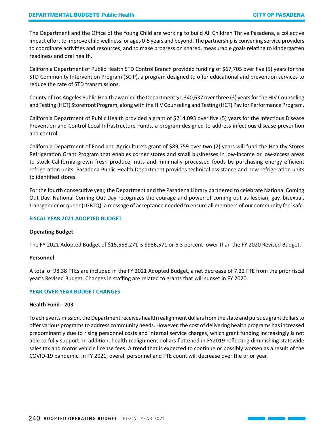The Department and the Office of the Young Child are working to build All Children Thrive Pasadena, a collective impact effort to improve child wellness for ages 0-5 years and beyond. The partnership is convening service providers to coordinate activities and resources, and to make progress on shared, measurable goals relating to kindergarten readiness and oral health.

California Department of Public Health STD Control Branch provided funding of \$67,705 over five (5) years for the STD Community Intervention Program (SCIP), a program designed to offer educational and prevention services to reduce the rate of STD transmissions.

County of Los Angeles Public Health awarded the Department \$1,340,637 over three (3) years for the HIV Counseling and Testing (HCT) Storefront Program, along with the HIV Counseling and Testing (HCT) Pay for Performance Program.

California Department of Public Health provided a grant of \$214,093 over five (5) years for the Infectious Disease Prevention and Control Local Infrastructure Funds, a program designed to address infectious disease prevention and control.

California Department of Food and Agriculture's grant of \$89,759 over two (2) years will fund the Healthy Stores Refrigeration Grant Program that enables corner stores and small businesses in low-income or low-access areas to stock California-grown fresh produce, nuts and minimally processed foods by purchasing energy efficient refrigeration units. Pasadena Public Health Department provides technical assistance and new refrigeration units to identified stores.

For the fourth consecutive year, the Department and the Pasadena Library partnered to celebrate National Coming Out Day. National Coming Out Day recognizes the courage and power of coming out as lesbian, gay, bisexual, transgender or queer (LGBTQ), a message of acceptance needed to ensure all members of our community feel safe.

# **FISCAL YEAR 2021 ADOPTED BUDGET**

# **Operating Budget**

The FY 2021 Adopted Budget of \$15,558,271 is \$986,571 or 6.3 percent lower than the FY 2020 Revised Budget.

# **Personnel**

A total of 98.38 FTEs are included in the FY 2021 Adopted Budget, a net decrease of 7.22 FTE from the prior fiscal year's Revised Budget. Changes in staffing are related to grants that will sunset in FY 2020.

# **YEAR-OVER-YEAR BUDGET CHANGES**

# **Health Fund - 203**

To achieve its mission, the Department receives health realignment dollars from the state and pursues grant dollars to offer various programs to address community needs. However, the cost of delivering health programs has increased predominantly due to rising personnel costs and internal service charges, which grant funding increasingly is not able to fully support. In addition, health realignment dollars flattened in FY2019 reflecting diminishing statewide sales tax and motor vehicle license fees. A trend that is expected to continue or possibly worsen as a result of the COVID-19 pandemic. In FY 2021, overall personnel and FTE count will decrease over the prior year.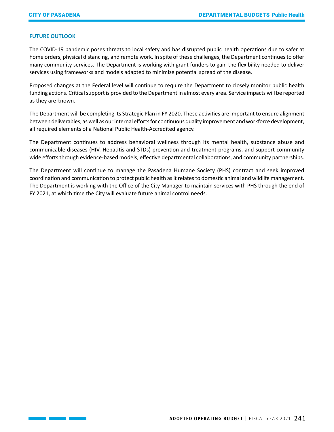# **FUTURE OUTLOOK**

The COVID-19 pandemic poses threats to local safety and has disrupted public health operations due to safer at home orders, physical distancing, and remote work. In spite of these challenges, the Department continues to offer many community services. The Department is working with grant funders to gain the flexibility needed to deliver services using frameworks and models adapted to minimize potential spread of the disease.

Proposed changes at the Federal level will continue to require the Department to closely monitor public health funding actions. Critical support is provided to the Department in almost every area. Service impacts will be reported as they are known.

The Department will be completing its Strategic Plan in FY 2020. These activities are important to ensure alignment between deliverables, as well as our internal efforts for continuous quality improvement and workforce development, all required elements of a National Public Health-Accredited agency.

The Department continues to address behavioral wellness through its mental health, substance abuse and communicable diseases (HIV, Hepatitis and STDs) prevention and treatment programs, and support community wide efforts through evidence-based models, effective departmental collaborations, and community partnerships.

The Department will continue to manage the Pasadena Humane Society (PHS) contract and seek improved coordination and communication to protect public health as it relates to domestic animal and wildlife management. The Department is working with the Office of the City Manager to maintain services with PHS through the end of FY 2021, at which time the City will evaluate future animal control needs.